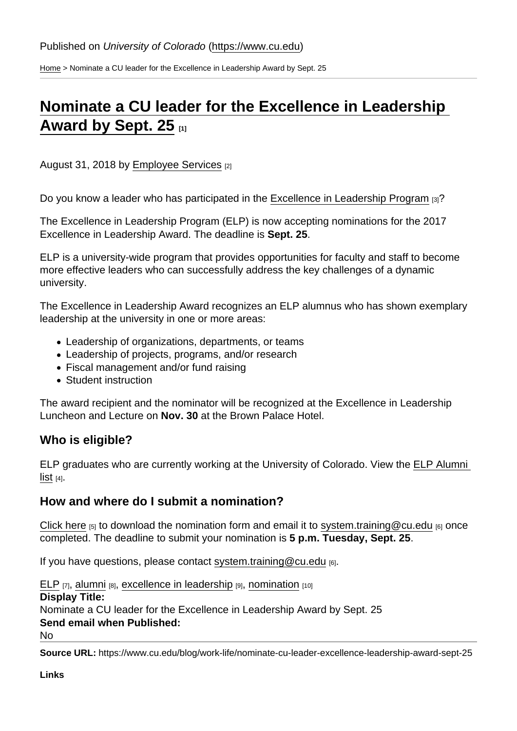[Home](https://www.cu.edu/) > Nominate a CU leader for the Excellence in Leadership Award by Sept. 25

## [Nominate a CU leader for the Excellence in Leadership](https://www.cu.edu/blog/work-life/nominate-cu-leader-excellence-leadership-award-sept-25)  [Award by Sept. 25](https://www.cu.edu/blog/work-life/nominate-cu-leader-excellence-leadership-award-sept-25) [1]

August 31, 2018 by [Employee Services](https://www.cu.edu/blog/work-life/author/9230) [2]

Do you know a leader who has participated in the [Excellence in Leadership Program](https://www.cu.edu/employee-services/career-advancement-learning/leadership/elp) [3]?

The Excellence in Leadership Program (ELP) is now accepting nominations for the 2017 Excellence in Leadership Award. The deadline is Sept. 25.

ELP is a university-wide program that provides opportunities for faculty and staff to become more effective leaders who can successfully address the key challenges of a dynamic university.

The Excellence in Leadership Award recognizes an ELP alumnus who has shown exemplary leadership at the university in one or more areas:

- Leadership of organizations, departments, or teams
- Leadership of projects, programs, and/or research
- Fiscal management and/or fund raising
- Student instruction

The award recipient and the nominator will be recognized at the Excellence in Leadership Luncheon and Lecture on Nov. 30 at the Brown Palace Hotel.

## Who is eligible?

ELP graduates who are currently working at the University of Colorado. View the [ELP Alumni](https://www.cu.edu/docs/elp-alumni)   $list$  [4].

How and where do I submit a nomination?

[Click here](https://www.cu.edu/docs/elp-award-nomination-form)  $[5]$  to download the nomination form and email it to [system.training@cu.edu](mailto:system.training@cu.edu)  $[6]$  once completed. The deadline to submit your nomination is 5 p.m. Tuesday, Sept. 25 .

If you have questions, please contact [system.training@cu.edu](mailto:system.training@cu.edu)  $_{[6]}$ .

[ELP](https://www.cu.edu/blog/work-life/tag/elp) [7], [alumni](https://www.cu.edu/blog/work-life/tag/alumni) [8], [excellence in leadership](https://www.cu.edu/blog/work-life/tag/excellence-in-leadership) [9], [nomination](https://www.cu.edu/blog/work-life/tag/nomination) [10] Display Title: Nominate a CU leader for the Excellence in Leadership Award by Sept. 25 Send email when Published: No

Source URL: https://www.cu.edu/blog/work-life/nominate-cu-leader-excellence-leadership-award-sept-25

Links